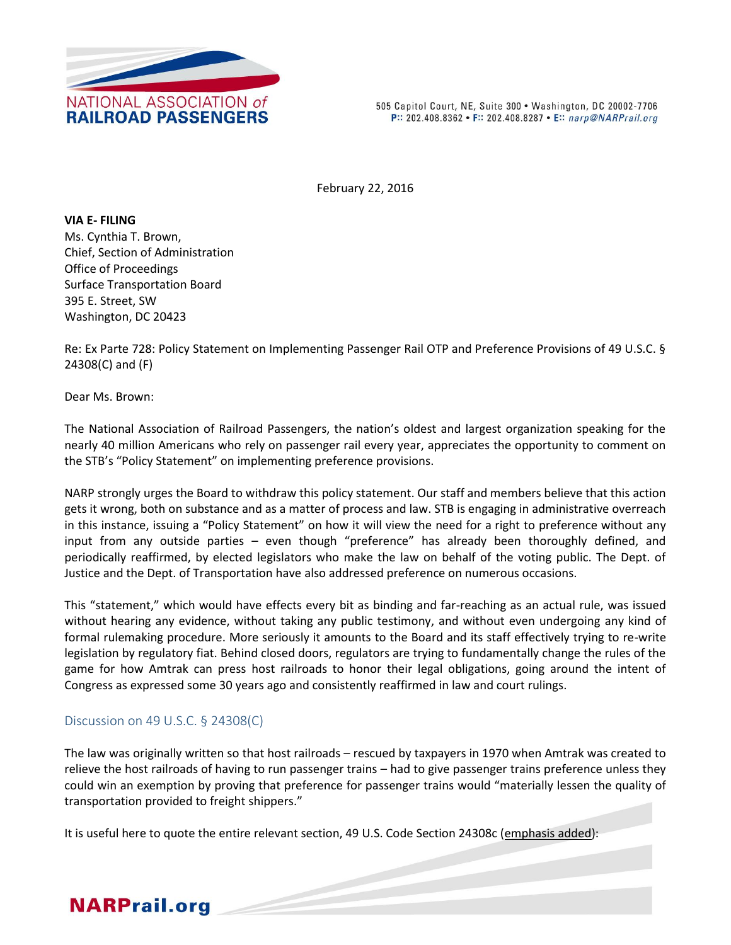

505 Capitol Court, NE, Suite 300 . Washington, DC 20002-7706 P:: 202.408.8362 • F:: 202.408.8287 • E:: narp@NARPrail.org

February 22, 2016

**VIA E- FILING** Ms. Cynthia T. Brown, Chief, Section of Administration Office of Proceedings Surface Transportation Board 395 E. Street, SW Washington, DC 20423

Re: Ex Parte 728: Policy Statement on Implementing Passenger Rail OTP and Preference Provisions of 49 U.S.C. § 24308(C) and (F)

Dear Ms. Brown:

The National Association of Railroad Passengers, the nation's oldest and largest organization speaking for the nearly 40 million Americans who rely on passenger rail every year, appreciates the opportunity to comment on the STB's "Policy Statement" on implementing preference provisions.

NARP strongly urges the Board to withdraw this policy statement. Our staff and members believe that this action gets it wrong, both on substance and as a matter of process and law. STB is engaging in administrative overreach in this instance, issuing a "Policy Statement" on how it will view the need for a right to preference without any input from any outside parties – even though "preference" has already been thoroughly defined, and periodically reaffirmed, by elected legislators who make the law on behalf of the voting public. The Dept. of Justice and the Dept. of Transportation have also addressed preference on numerous occasions.

This "statement," which would have effects every bit as binding and far-reaching as an actual rule, was issued without hearing any evidence, without taking any public testimony, and without even undergoing any kind of formal rulemaking procedure. More seriously it amounts to the Board and its staff effectively trying to re-write legislation by regulatory fiat. Behind closed doors, regulators are trying to fundamentally change the rules of the game for how Amtrak can press host railroads to honor their legal obligations, going around the intent of Congress as expressed some 30 years ago and consistently reaffirmed in law and court rulings.

## Discussion on 49 U.S.C. § 24308(C)

The law was originally written so that host railroads – rescued by taxpayers in 1970 when Amtrak was created to relieve the host railroads of having to run passenger trains – had to give passenger trains preference unless they could win an exemption by proving that preference for passenger trains would "materially lessen the quality of transportation provided to freight shippers."

It is useful here to quote the entire relevant section, 49 U.S. Code Section 24308c (emphasis added):

## **NARPrail.org**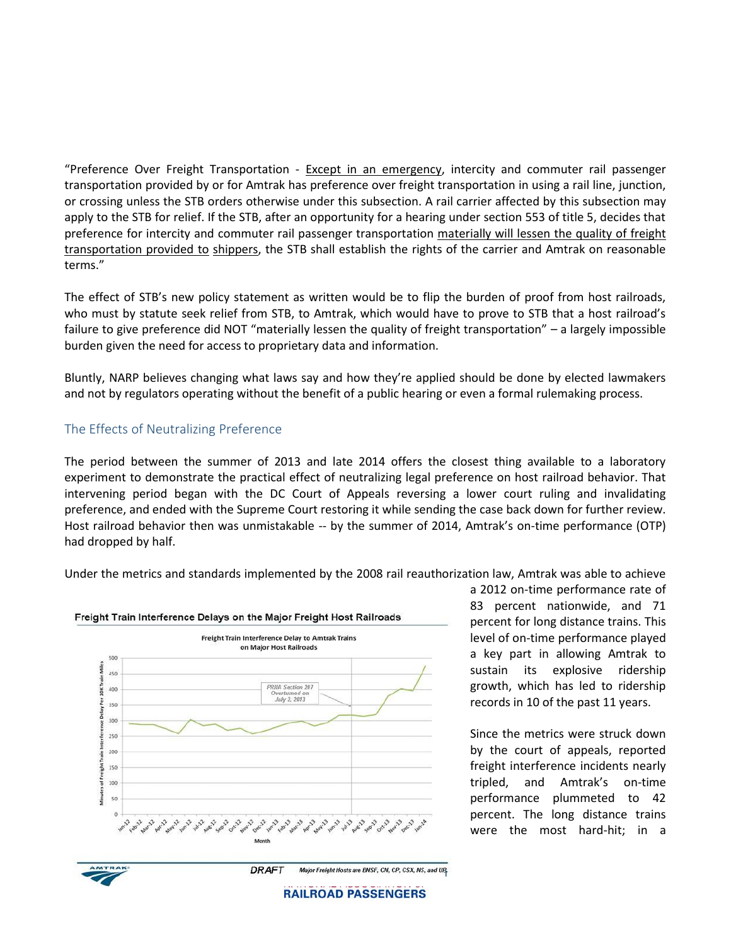"Preference Over Freight Transportation - Except in an emergency, intercity and commuter rail passenger transportation provided by or for Amtrak has preference over freight transportation in using a rail line, junction, or crossing unless the STB orders otherwise under this subsection. A rail carrier affected by this subsection may apply to the STB for relief. If the STB, after an opportunity for a hearing under section 553 of title 5, decides that preference for intercity and commuter rail passenger transportation materially will lessen the quality of freight transportation provided to shippers, the STB shall establish the rights of the carrier and Amtrak on reasonable terms."

The effect of STB's new policy statement as written would be to flip the burden of proof from host railroads, who must by statute seek relief from STB, to Amtrak, which would have to prove to STB that a host railroad's failure to give preference did NOT "materially lessen the quality of freight transportation" – a largely impossible burden given the need for access to proprietary data and information.

Bluntly, NARP believes changing what laws say and how they're applied should be done by elected lawmakers and not by regulators operating without the benefit of a public hearing or even a formal rulemaking process.

## The Effects of Neutralizing Preference

The period between the summer of 2013 and late 2014 offers the closest thing available to a laboratory experiment to demonstrate the practical effect of neutralizing legal preference on host railroad behavior. That intervening period began with the DC Court of Appeals reversing a lower court ruling and invalidating preference, and ended with the Supreme Court restoring it while sending the case back down for further review. Host railroad behavior then was unmistakable -- by the summer of 2014, Amtrak's on-time performance (OTP) had dropped by half.

Under the metrics and standards implemented by the 2008 rail reauthorization law, Amtrak was able to achieve



a 2012 on-time performance rate of 83 percent nationwide, and 71 percent for long distance trains. This level of on-time performance played a key part in allowing Amtrak to sustain its explosive ridership growth, which has led to ridership records in 10 of the past 11 years.

Since the metrics were struck down by the court of appeals, reported freight interference incidents nearly tripled, and Amtrak's on-time performance plummeted to 42 percent. The long distance trains were the most hard-hit; in a

**RAILROAD PASSENGERS**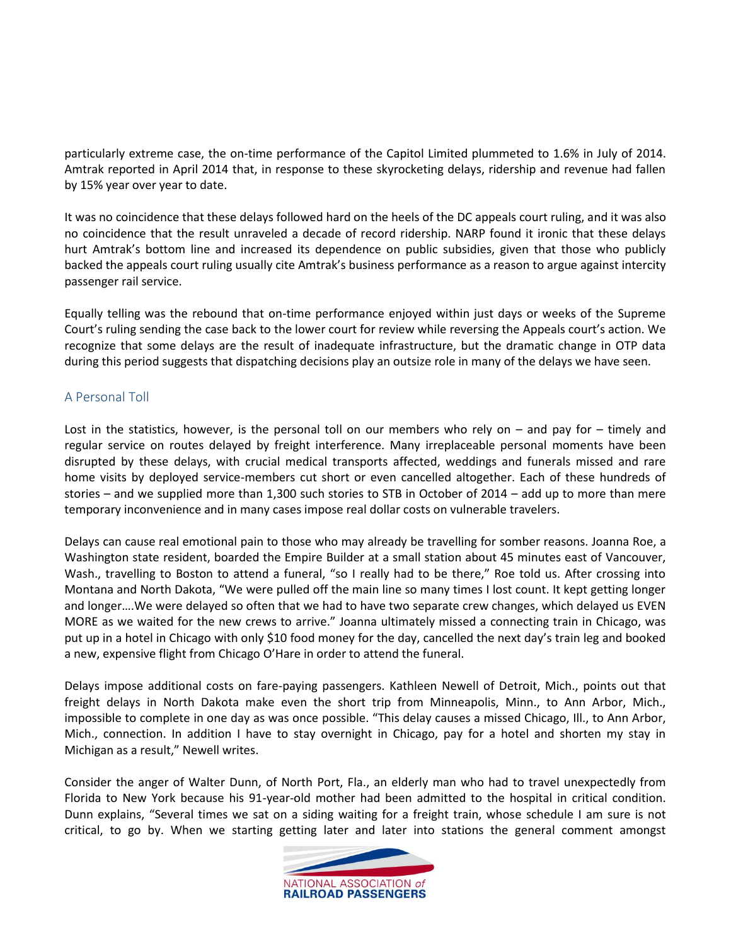particularly extreme case, the on-time performance of the Capitol Limited plummeted to 1.6% in July of 2014. Amtrak reported in April 2014 that, in response to these skyrocketing delays, ridership and revenue had fallen by 15% year over year to date.

It was no coincidence that these delays followed hard on the heels of the DC appeals court ruling, and it was also no coincidence that the result unraveled a decade of record ridership. NARP found it ironic that these delays hurt Amtrak's bottom line and increased its dependence on public subsidies, given that those who publicly backed the appeals court ruling usually cite Amtrak's business performance as a reason to argue against intercity passenger rail service.

Equally telling was the rebound that on-time performance enjoyed within just days or weeks of the Supreme Court's ruling sending the case back to the lower court for review while reversing the Appeals court's action. We recognize that some delays are the result of inadequate infrastructure, but the dramatic change in OTP data during this period suggests that dispatching decisions play an outsize role in many of the delays we have seen.

## A Personal Toll

Lost in the statistics, however, is the personal toll on our members who rely on – and pay for – timely and regular service on routes delayed by freight interference. Many irreplaceable personal moments have been disrupted by these delays, with crucial medical transports affected, weddings and funerals missed and rare home visits by deployed service-members cut short or even cancelled altogether. Each of these hundreds of stories – and we supplied more than 1,300 such stories to STB in October of 2014 – add up to more than mere temporary inconvenience and in many cases impose real dollar costs on vulnerable travelers.

Delays can cause real emotional pain to those who may already be travelling for somber reasons. Joanna Roe, a Washington state resident, boarded the Empire Builder at a small station about 45 minutes east of Vancouver, Wash., travelling to Boston to attend a funeral, "so I really had to be there," Roe told us. After crossing into Montana and North Dakota, "We were pulled off the main line so many times I lost count. It kept getting longer and longer….We were delayed so often that we had to have two separate crew changes, which delayed us EVEN MORE as we waited for the new crews to arrive." Joanna ultimately missed a connecting train in Chicago, was put up in a hotel in Chicago with only \$10 food money for the day, cancelled the next day's train leg and booked a new, expensive flight from Chicago O'Hare in order to attend the funeral.

Delays impose additional costs on fare-paying passengers. Kathleen Newell of Detroit, Mich., points out that freight delays in North Dakota make even the short trip from Minneapolis, Minn., to Ann Arbor, Mich., impossible to complete in one day as was once possible. "This delay causes a missed Chicago, Ill., to Ann Arbor, Mich., connection. In addition I have to stay overnight in Chicago, pay for a hotel and shorten my stay in Michigan as a result," Newell writes.

Consider the anger of Walter Dunn, of North Port, Fla., an elderly man who had to travel unexpectedly from Florida to New York because his 91-year-old mother had been admitted to the hospital in critical condition. Dunn explains, "Several times we sat on a siding waiting for a freight train, whose schedule I am sure is not critical, to go by. When we starting getting later and later into stations the general comment amongst